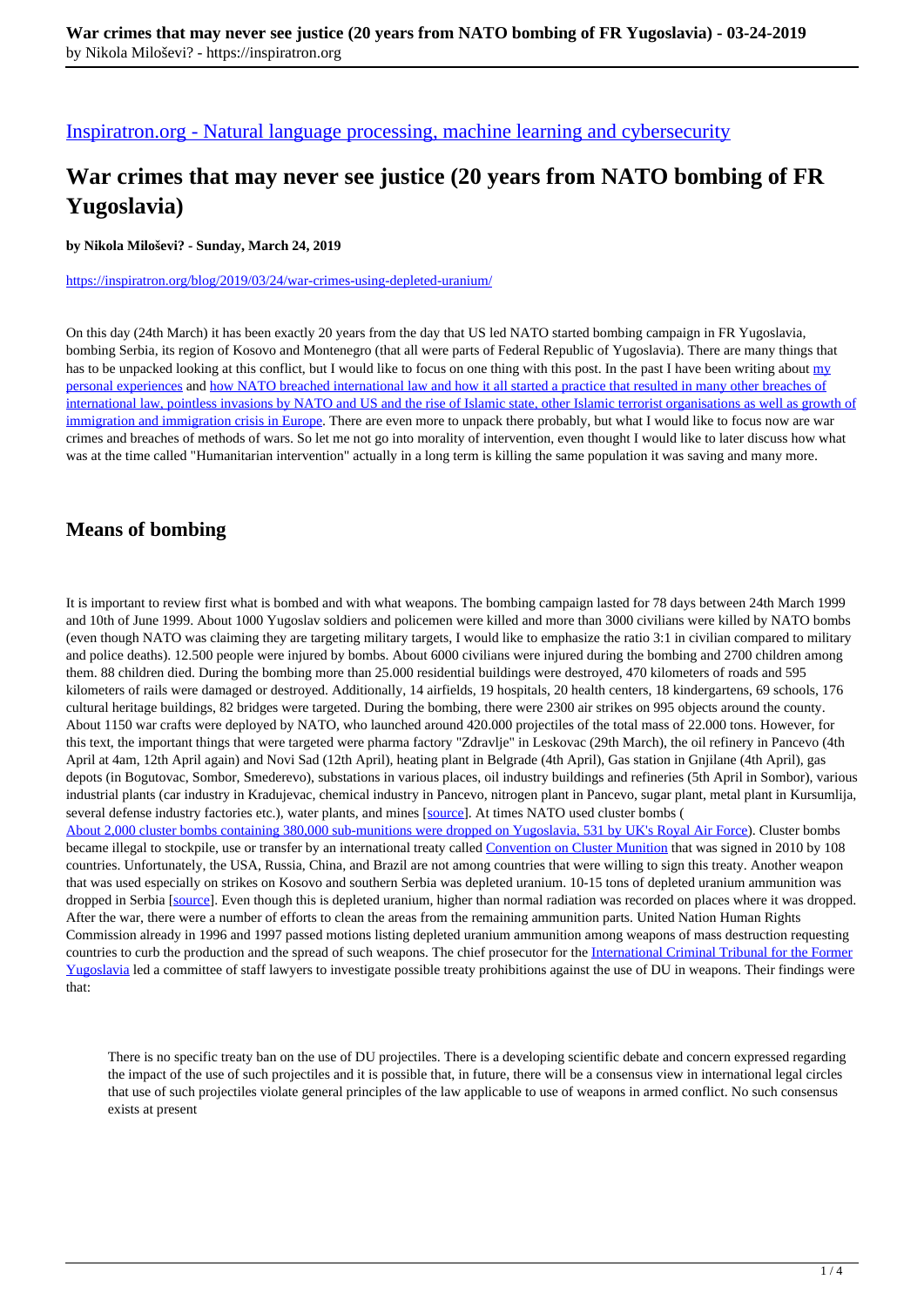[Inspiratron.org - Natural language processing, machine learning and cybersecurity](https://inspiratron.org)

## **War crimes that may never see justice (20 years from NATO bombing of FR Yugoslavia)**

**by Nikola Miloševi? - Sunday, March 24, 2019**

https://inspiratron.org/blog/2019/03/24/war-crimes-using-depleted-uranium/

On this day (24th March) it has been exactly 20 years from the day that US led NATO started bombing campaign in FR Yugoslavia, bombing Serbia, its region of Kosovo and Montenegro (that all were parts of Federal Republic of Yugoslavia). There are many things that has to be unpacked looking at this conflict, but I would like to focus on one thing with this post. In the past I have been writing about my personal experiences and how NATO breached international law and how it all started a practice that resulted in many other breaches of international law, pointless invasions by NATO and US and the rise of Islamic state, other Islamic terrorist organisations as well as growth of immigration and immigration crisis in Europe. There are even more to unpack there probably, but what I would like to focus now are war crimes and breaches of methods of wars. So let me not go into morality of intervention, even thought I would like to later discuss how what was at the time called "Humanitarian intervention" actually in a long term is killing the same population it was saving and many more.

## **Means of bombing**

It is important to review first what is bombed and with what weapons. The bombing campaign lasted for 78 days between 24th March 1999 and 10th of June 1999. About 1000 Yugoslav soldiers and policemen were killed and more than 3000 civilians were killed by NATO bombs (even though NATO was claiming they are targeting military targets, I would like to emphasize the ratio 3:1 in civilian compared to military and police deaths). 12.500 people were injured by bombs. About 6000 civilians were injured during the bombing and 2700 children among them. 88 children died. During the bombing more than 25.000 residential buildings were destroyed, 470 kilometers of roads and 595 kilometers of rails were damaged or destroyed. Additionally, 14 airfields, 19 hospitals, 20 health centers, 18 kindergartens, 69 schools, 176 cultural heritage buildings, 82 bridges were targeted. During the bombing, there were 2300 air strikes on 995 objects around the county. About 1150 war crafts were deployed by NATO, who launched around 420.000 projectiles of the total mass of 22.000 tons. However, for this text, the important things that were targeted were pharma factory "Zdravlje" in Leskovac (29th March), the oil refinery in Pancevo (4th April at 4am, 12th April again) and Novi Sad (12th April), heating plant in Belgrade (4th April), Gas station in Gnjilane (4th April), gas depots (in Bogutovac, Sombor, Smederevo), substations in various places, oil industry buildings and refineries (5th April in Sombor), various industrial plants (car industry in Kradujevac, chemical industry in Pancevo, nitrogen plant in Pancevo, sugar plant, metal plant in Kursumlija, several defense industry factories etc.), water plants, and mines [source]. At times NATO used cluster bombs ( About 2,000 cluster bombs containing 380,000 sub-munitions were dropped on Yugoslavia, 531 by UK's Royal Air Force). Cluster bombs became illegal to stockpile, use or transfer by an international treaty called Convention on Cluster Munition that was signed in 2010 by 108 countries. Unfortunately, the USA, Russia, China, and Brazil are not among countries that were willing to sign this treaty. Another weapon that was used especially on strikes on Kosovo and southern Serbia was depleted uranium. 10-15 tons of depleted uranium ammunition was dropped in Serbia [source]. Even though this is depleted uranium, higher than normal radiation was recorded on places where it was dropped. After the war, there were a number of efforts to clean the areas from the remaining ammunition parts. United Nation Human Rights Commission already in 1996 and 1997 passed motions listing depleted uranium ammunition among weapons of mass destruction requesting countries to curb the production and the spread of such weapons. The chief prosecutor for the International Criminal Tribunal for the Former Yugoslavia led a committee of staff lawyers to investigate possible treaty prohibitions against the use of DU in weapons. Their findings were that:

There is no specific treaty ban on the use of DU projectiles. There is a developing scientific debate and concern expressed regarding the impact of the use of such projectiles and it is possible that, in future, there will be a consensus view in international legal circles that use of such projectiles violate general principles of the law applicable to use of weapons in armed conflict. No such consensus exists at present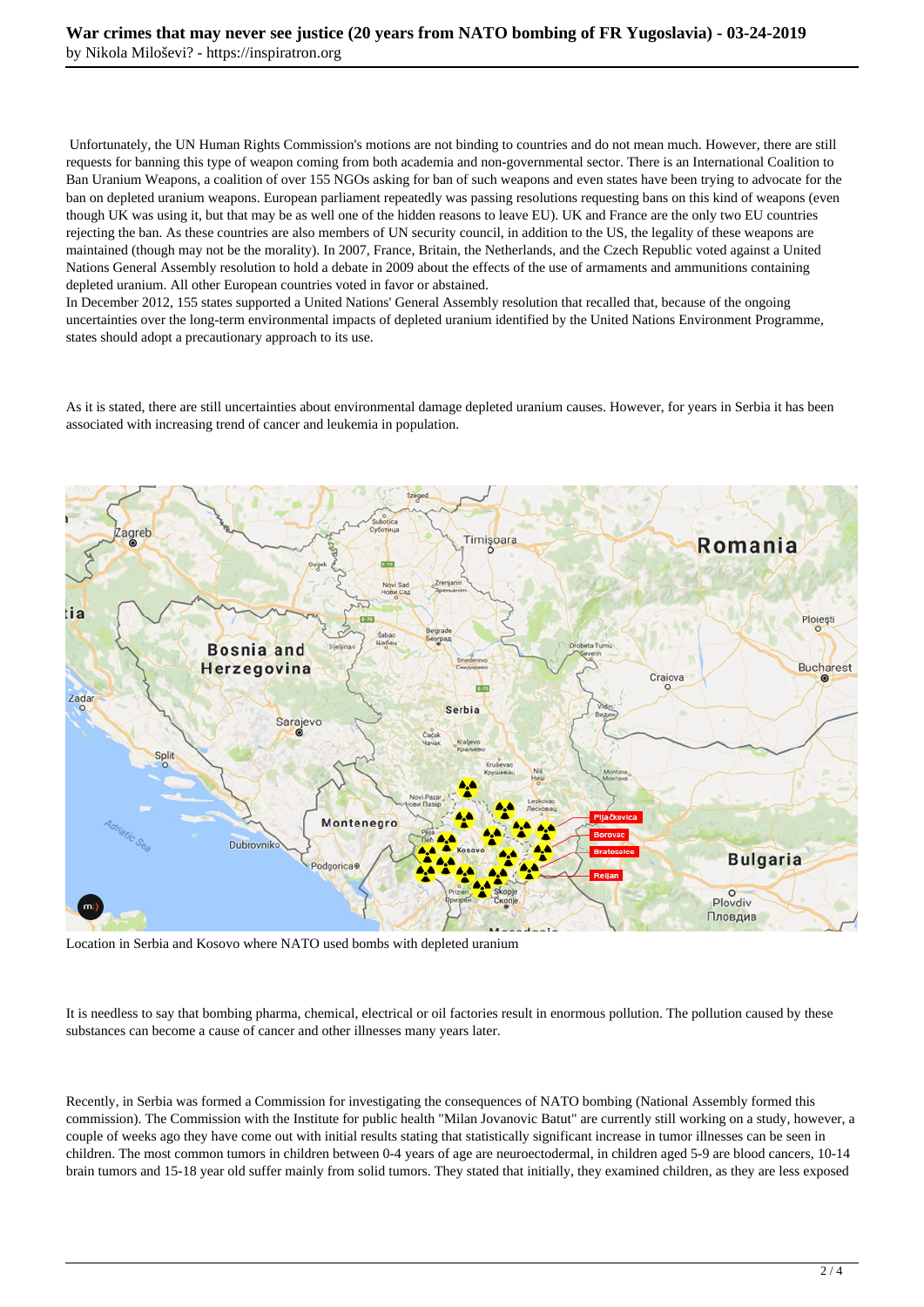Unfortunately, the UN Human Rights Commission's motions are not binding to countries and do not mean much. However, there are still requests for banning this type of weapon coming from both academia and non-governmental sector. There is an International Coalition to Ban Uranium Weapons, a coalition of over 155 NGOs asking for ban of such weapons and even states have been trying to advocate for the ban on depleted uranium weapons. European parliament repeatedly was passing resolutions requesting bans on this kind of weapons (even though UK was using it, but that may be as well one of the hidden reasons to leave EU). UK and France are the only two EU countries rejecting the ban. As these countries are also members of UN security council, in addition to the US, the legality of these weapons are maintained (though may not be the morality). In 2007, France, Britain, the Netherlands, and the Czech Republic voted against a United Nations General Assembly resolution to hold a debate in 2009 about the effects of the use of armaments and ammunitions containing depleted uranium. All other European countries voted in favor or abstained.

In December 2012, 155 states supported a United Nations' General Assembly resolution that recalled that, because of the ongoing uncertainties over the long-term environmental impacts of depleted uranium identified by the United Nations Environment Programme, states should adopt a precautionary approach to its use.

As it is stated, there are still uncertainties about environmental damage depleted uranium causes. However, for years in Serbia it has been associated with increasing trend of cancer and leukemia in population.



Location in Serbia and Kosovo where NATO used bombs with depleted uranium

It is needless to say that bombing pharma, chemical, electrical or oil factories result in enormous pollution. The pollution caused by these substances can become a cause of cancer and other illnesses many years later.

Recently, in Serbia was formed a Commission for investigating the consequences of NATO bombing (National Assembly formed this commission). The Commission with the Institute for public health "Milan Jovanovic Batut" are currently still working on a study, however, a couple of weeks ago they have come out with initial results stating that statistically significant increase in tumor illnesses can be seen in children. The most common tumors in children between 0-4 years of age are neuroectodermal, in children aged 5-9 are blood cancers, 10-14 brain tumors and 15-18 year old suffer mainly from solid tumors. They stated that initially, they examined children, as they are less exposed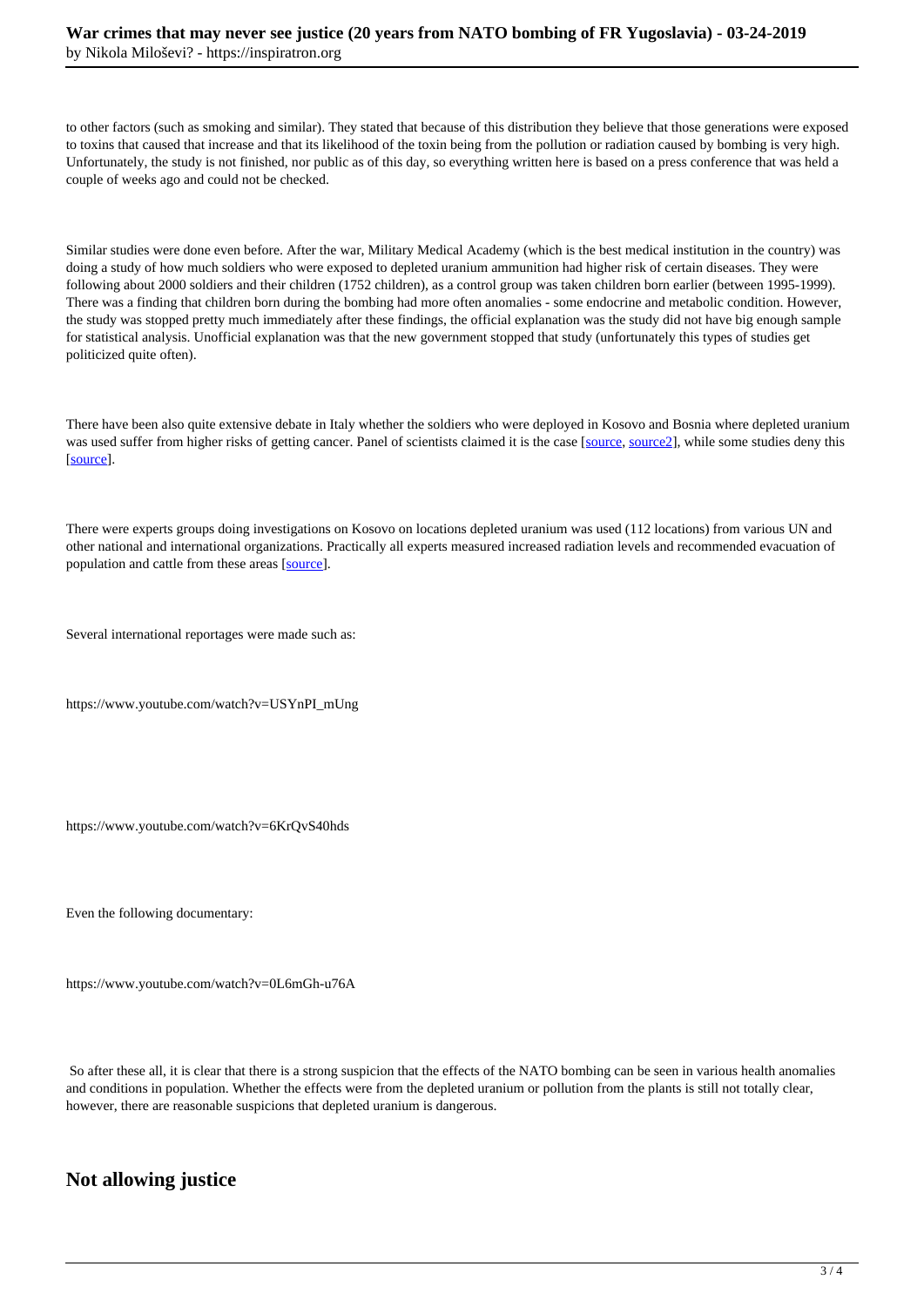to other factors (such as smoking and similar). They stated that because of this distribution they believe that those generations were exposed to toxins that caused that increase and that its likelihood of the toxin being from the pollution or radiation caused by bombing is very high. Unfortunately, the study is not finished, nor public as of this day, so everything written here is based on a press conference that was held a couple of weeks ago and could not be checked.

Similar studies were done even before. After the war, Military Medical Academy (which is the best medical institution in the country) was doing a study of how much soldiers who were exposed to depleted uranium ammunition had higher risk of certain diseases. They were following about 2000 soldiers and their children (1752 children), as a control group was taken children born earlier (between 1995-1999). There was a finding that children born during the bombing had more often anomalies - some endocrine and metabolic condition. However, the study was stopped pretty much immediately after these findings, the official explanation was the study did not have big enough sample for statistical analysis. Unofficial explanation was that the new government stopped that study (unfortunately this types of studies get politicized quite often).

There have been also quite extensive debate in Italy whether the soldiers who were deployed in Kosovo and Bosnia where depleted uranium was used suffer from higher risks of getting cancer. Panel of scientists claimed it is the case [source, source2], while some studies deny this [source].

There were experts groups doing investigations on Kosovo on locations depleted uranium was used (112 locations) from various UN and other national and international organizations. Practically all experts measured increased radiation levels and recommended evacuation of population and cattle from these areas [source].

Several international reportages were made such as:

https://www.youtube.com/watch?v=USYnPI\_mUng

https://www.youtube.com/watch?v=6KrQvS40hds

Even the following documentary:

https://www.youtube.com/watch?v=0L6mGh-u76A

 So after these all, it is clear that there is a strong suspicion that the effects of the NATO bombing can be seen in various health anomalies and conditions in population. Whether the effects were from the depleted uranium or pollution from the plants is still not totally clear, however, there are reasonable suspicions that depleted uranium is dangerous.

## **Not allowing justice**